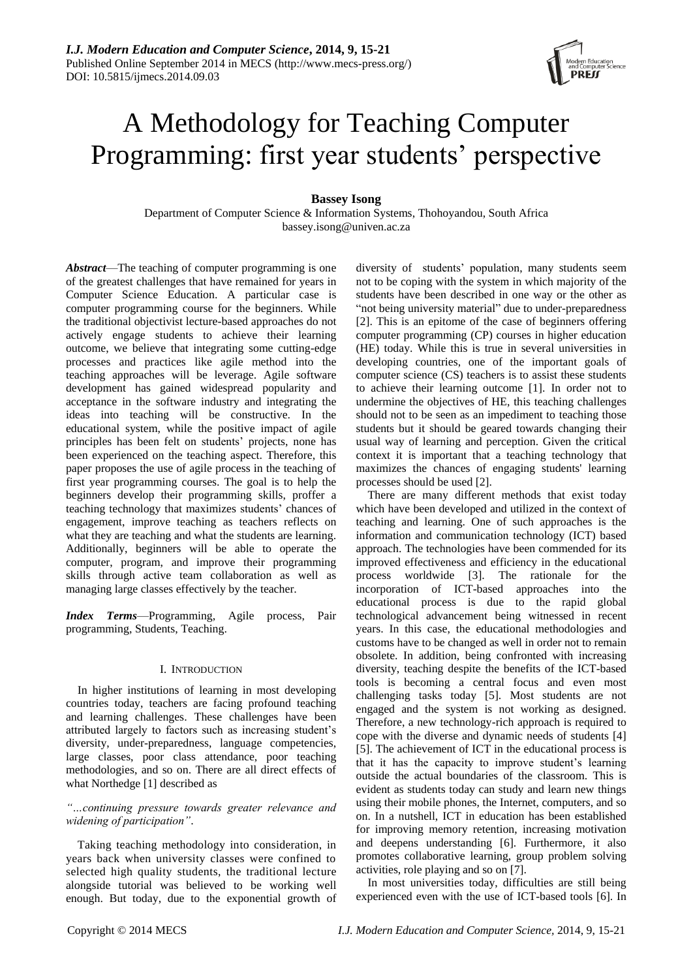# A Methodology for Teaching Computer Programming: first year students' perspective

# **Bassey Isong**

Department of Computer Science & Information Systems, Thohoyandou, South Africa bassey.isong@univen.ac.za

*Abstract*—The teaching of computer programming is one of the greatest challenges that have remained for years in Computer Science Education. A particular case is computer programming course for the beginners. While the traditional objectivist lecture-based approaches do not actively engage students to achieve their learning outcome, we believe that integrating some cutting-edge processes and practices like agile method into the teaching approaches will be leverage. Agile software development has gained widespread popularity and acceptance in the software industry and integrating the ideas into teaching will be constructive. In the educational system, while the positive impact of agile principles has been felt on students' projects, none has been experienced on the teaching aspect. Therefore, this paper proposes the use of agile process in the teaching of first year programming courses. The goal is to help the beginners develop their programming skills, proffer a teaching technology that maximizes students' chances of engagement, improve teaching as teachers reflects on what they are teaching and what the students are learning. Additionally, beginners will be able to operate the computer, program, and improve their programming skills through active team collaboration as well as managing large classes effectively by the teacher.

*Index Terms*—Programming, Agile process, Pair programming, Students, Teaching.

## I. INTRODUCTION

In higher institutions of learning in most developing countries today, teachers are facing profound teaching and learning challenges. These challenges have been attributed largely to factors such as increasing student's diversity, under-preparedness, language competencies, large classes, poor class attendance, poor teaching methodologies, and so on. There are all direct effects of what Northedge [1] described as

*"…continuing pressure towards greater relevance and widening of participation"*.

Taking teaching methodology into consideration, in years back when university classes were confined to selected high quality students, the traditional lecture alongside tutorial was believed to be working well enough. But today, due to the exponential growth of diversity of students' population, many students seem not to be coping with the system in which majority of the students have been described in one way or the other as "not being university material" due to under-preparedness [2]. This is an epitome of the case of beginners offering computer programming (CP) courses in higher education (HE) today. While this is true in several universities in developing countries, one of the important goals of computer science (CS) teachers is to assist these students to achieve their learning outcome [1]. In order not to undermine the objectives of HE, this teaching challenges should not to be seen as an impediment to teaching those students but it should be geared towards changing their usual way of learning and perception. Given the critical context it is important that a teaching technology that maximizes the chances of engaging students' learning processes should be used [2].

There are many different methods that exist today which have been developed and utilized in the context of teaching and learning. One of such approaches is the information and communication technology (ICT) based approach. The technologies have been commended for its improved effectiveness and efficiency in the educational process worldwide [3]. The rationale for the incorporation of ICT-based approaches into the educational process is due to the rapid global technological advancement being witnessed in recent years. In this case, the educational methodologies and customs have to be changed as well in order not to remain obsolete. In addition, being confronted with increasing diversity, teaching despite the benefits of the ICT-based tools is becoming a central focus and even most challenging tasks today [5]. Most students are not engaged and the system is not working as designed. Therefore, a new technology-rich approach is required to cope with the diverse and dynamic needs of students [4] [5]. The achievement of ICT in the educational process is that it has the capacity to improve student's learning outside the actual boundaries of the classroom. This is evident as students today can study and learn new things using their mobile phones, the Internet, computers, and so on. In a nutshell, ICT in education has been established for improving memory retention, increasing motivation and deepens understanding [6]. Furthermore, it also promotes collaborative learning, group problem solving activities, role playing and so on [7].

In most universities today, difficulties are still being experienced even with the use of ICT-based tools [6]. In

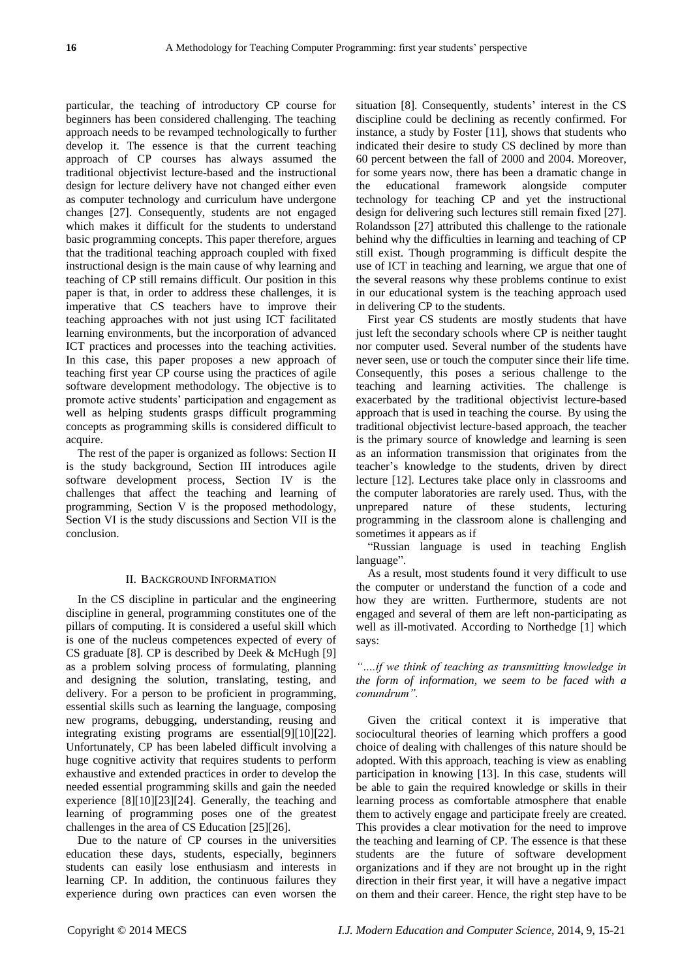particular, the teaching of introductory CP course for beginners has been considered challenging. The teaching approach needs to be revamped technologically to further develop it. The essence is that the current teaching approach of CP courses has always assumed the traditional objectivist lecture-based and the instructional design for lecture delivery have not changed either even as computer technology and curriculum have undergone changes [27]. Consequently, students are not engaged which makes it difficult for the students to understand basic programming concepts. This paper therefore, argues that the traditional teaching approach coupled with fixed instructional design is the main cause of why learning and teaching of CP still remains difficult. Our position in this paper is that, in order to address these challenges, it is imperative that CS teachers have to improve their teaching approaches with not just using ICT facilitated learning environments, but the incorporation of advanced ICT practices and processes into the teaching activities. In this case, this paper proposes a new approach of teaching first year CP course using the practices of agile software development methodology. The objective is to promote active students' participation and engagement as well as helping students grasps difficult programming concepts as programming skills is considered difficult to acquire.

The rest of the paper is organized as follows: Section II is the study background, Section III introduces agile software development process, Section IV is the challenges that affect the teaching and learning of programming, Section V is the proposed methodology, Section VI is the study discussions and Section VII is the conclusion.

### II. BACKGROUND INFORMATION

In the CS discipline in particular and the engineering discipline in general, programming constitutes one of the pillars of computing. It is considered a useful skill which is one of the nucleus competences expected of every of CS graduate [8]. CP is described by Deek & McHugh [9] as a problem solving process of formulating, planning and designing the solution, translating, testing, and delivery. For a person to be proficient in programming, essential skills such as learning the language, composing new programs, debugging, understanding, reusing and integrating existing programs are essential[9][10][22]. Unfortunately, CP has been labeled difficult involving a huge cognitive activity that requires students to perform exhaustive and extended practices in order to develop the needed essential programming skills and gain the needed experience [8][10][23][24]. Generally, the teaching and learning of programming poses one of the greatest challenges in the area of CS Education [25][26].

Due to the nature of CP courses in the universities education these days, students, especially, beginners students can easily lose enthusiasm and interests in learning CP. In addition, the continuous failures they experience during own practices can even worsen the situation [8]. Consequently, students' interest in the CS discipline could be declining as recently confirmed. For instance, a study by Foster [11], shows that students who indicated their desire to study CS declined by more than 60 percent between the fall of 2000 and 2004. Moreover, for some years now, there has been a dramatic change in the educational framework alongside computer technology for teaching CP and yet the instructional design for delivering such lectures still remain fixed [27]. Rolandsson [27] attributed this challenge to the rationale behind why the difficulties in learning and teaching of CP still exist. Though programming is difficult despite the use of ICT in teaching and learning, we argue that one of the several reasons why these problems continue to exist in our educational system is the teaching approach used in delivering CP to the students.

First year CS students are mostly students that have just left the secondary schools where CP is neither taught nor computer used. Several number of the students have never seen, use or touch the computer since their life time. Consequently, this poses a serious challenge to the teaching and learning activities. The challenge is exacerbated by the traditional objectivist lecture-based approach that is used in teaching the course. By using the traditional objectivist lecture-based approach, the teacher is the primary source of knowledge and learning is seen as an information transmission that originates from the teacher's knowledge to the students, driven by direct lecture [12]. Lectures take place only in classrooms and the computer laboratories are rarely used. Thus, with the unprepared nature of these students, lecturing programming in the classroom alone is challenging and sometimes it appears as if

―Russian language is used in teaching English language".

As a result, most students found it very difficult to use the computer or understand the function of a code and how they are written. Furthermore, students are not engaged and several of them are left non-participating as well as ill-motivated. According to Northedge [1] which says:

## *"….if we think of teaching as transmitting knowledge in the form of information, we seem to be faced with a conundrum".*

Given the critical context it is imperative that sociocultural theories of learning which proffers a good choice of dealing with challenges of this nature should be adopted. With this approach, teaching is view as enabling participation in knowing [13]. In this case, students will be able to gain the required knowledge or skills in their learning process as comfortable atmosphere that enable them to actively engage and participate freely are created. This provides a clear motivation for the need to improve the teaching and learning of CP. The essence is that these students are the future of software development organizations and if they are not brought up in the right direction in their first year, it will have a negative impact on them and their career. Hence, the right step have to be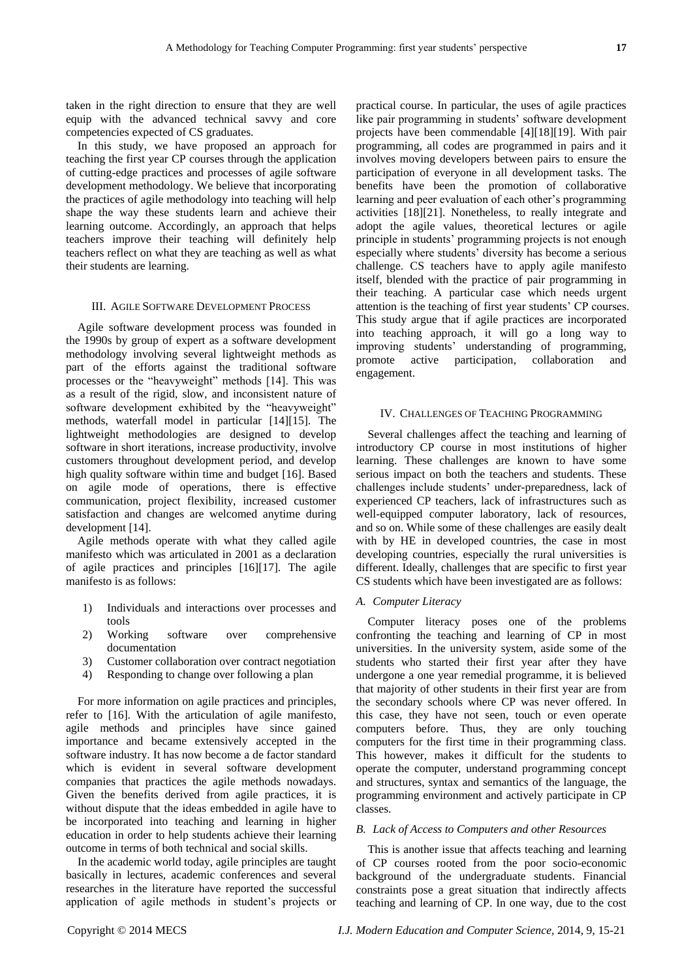taken in the right direction to ensure that they are well equip with the advanced technical savvy and core competencies expected of CS graduates.

In this study, we have proposed an approach for teaching the first year CP courses through the application of cutting-edge practices and processes of agile software development methodology. We believe that incorporating the practices of agile methodology into teaching will help shape the way these students learn and achieve their learning outcome. Accordingly, an approach that helps teachers improve their teaching will definitely help teachers reflect on what they are teaching as well as what their students are learning.

#### III. AGILE SOFTWARE DEVELOPMENT PROCESS

Agile software development process was founded in the 1990s by group of expert as a software development methodology involving several lightweight methods as part of the efforts against the traditional software processes or the "heavyweight" methods [14]. This was as a result of the rigid, slow, and inconsistent nature of software development exhibited by the "heavyweight" methods, waterfall model in particular [14][15]. The lightweight methodologies are designed to develop software in short iterations, increase productivity, involve customers throughout development period, and develop high quality software within time and budget [16]. Based on agile mode of operations, there is effective communication, project flexibility, increased customer satisfaction and changes are welcomed anytime during development [14].

Agile methods operate with what they called agile manifesto which was articulated in 2001 as a declaration of agile practices and principles [16][17]. The agile manifesto is as follows:

- 1) Individuals and interactions over processes and tools
- 2) Working software over comprehensive documentation
- 3) Customer collaboration over contract negotiation
- 4) Responding to change over following a plan

For more information on agile practices and principles, refer to [16]. With the articulation of agile manifesto, agile methods and principles have since gained importance and became extensively accepted in the software industry. It has now become a de factor standard which is evident in several software development companies that practices the agile methods nowadays. Given the benefits derived from agile practices, it is without dispute that the ideas embedded in agile have to be incorporated into teaching and learning in higher education in order to help students achieve their learning outcome in terms of both technical and social skills.

In the academic world today, agile principles are taught basically in lectures, academic conferences and several researches in the literature have reported the successful application of agile methods in student's projects or

practical course. In particular, the uses of agile practices like pair programming in students' software development projects have been commendable [4][18][19]. With pair programming, all codes are programmed in pairs and it involves moving developers between pairs to ensure the participation of everyone in all development tasks. The benefits have been the promotion of collaborative learning and peer evaluation of each other's programming activities [18][21]. Nonetheless, to really integrate and adopt the agile values, theoretical lectures or agile principle in students' programming projects is not enough especially where students' diversity has become a serious challenge. CS teachers have to apply agile manifesto itself, blended with the practice of pair programming in their teaching. A particular case which needs urgent attention is the teaching of first year students' CP courses. This study argue that if agile practices are incorporated into teaching approach, it will go a long way to improving students' understanding of programming, promote active participation, collaboration and engagement.

## IV. CHALLENGES OF TEACHING PROGRAMMING

Several challenges affect the teaching and learning of introductory CP course in most institutions of higher learning. These challenges are known to have some serious impact on both the teachers and students. These challenges include students' under-preparedness, lack of experienced CP teachers, lack of infrastructures such as well-equipped computer laboratory, lack of resources, and so on. While some of these challenges are easily dealt with by HE in developed countries, the case in most developing countries, especially the rural universities is different. Ideally, challenges that are specific to first year CS students which have been investigated are as follows:

## *A. Computer Literacy*

Computer literacy poses one of the problems confronting the teaching and learning of CP in most universities. In the university system, aside some of the students who started their first year after they have undergone a one year remedial programme, it is believed that majority of other students in their first year are from the secondary schools where CP was never offered. In this case, they have not seen, touch or even operate computers before. Thus, they are only touching computers for the first time in their programming class. This however, makes it difficult for the students to operate the computer, understand programming concept and structures, syntax and semantics of the language, the programming environment and actively participate in CP classes.

## *B. Lack of Access to Computers and other Resources*

This is another issue that affects teaching and learning of CP courses rooted from the poor socio-economic background of the undergraduate students. Financial constraints pose a great situation that indirectly affects teaching and learning of CP. In one way, due to the cost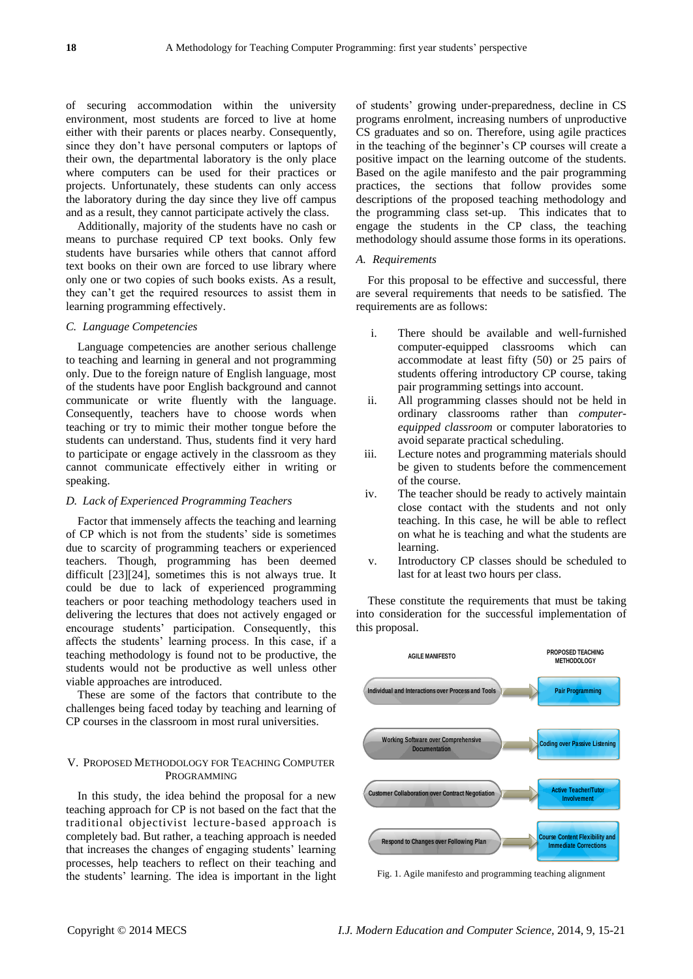of securing accommodation within the university environment, most students are forced to live at home either with their parents or places nearby. Consequently, since they don't have personal computers or laptops of their own, the departmental laboratory is the only place where computers can be used for their practices or projects. Unfortunately, these students can only access the laboratory during the day since they live off campus and as a result, they cannot participate actively the class.

Additionally, majority of the students have no cash or means to purchase required CP text books. Only few students have bursaries while others that cannot afford text books on their own are forced to use library where only one or two copies of such books exists. As a result, they can't get the required resources to assist them in learning programming effectively.

## *C. Language Competencies*

Language competencies are another serious challenge to teaching and learning in general and not programming only. Due to the foreign nature of English language, most of the students have poor English background and cannot communicate or write fluently with the language. Consequently, teachers have to choose words when teaching or try to mimic their mother tongue before the students can understand. Thus, students find it very hard to participate or engage actively in the classroom as they cannot communicate effectively either in writing or speaking.

## *D. Lack of Experienced Programming Teachers*

Factor that immensely affects the teaching and learning of CP which is not from the students' side is sometimes due to scarcity of programming teachers or experienced teachers. Though, programming has been deemed difficult [23][24], sometimes this is not always true. It could be due to lack of experienced programming teachers or poor teaching methodology teachers used in delivering the lectures that does not actively engaged or encourage students' participation. Consequently, this affects the students' learning process. In this case, if a teaching methodology is found not to be productive, the students would not be productive as well unless other viable approaches are introduced.

These are some of the factors that contribute to the challenges being faced today by teaching and learning of CP courses in the classroom in most rural universities.

## V. PROPOSED METHODOLOGY FOR TEACHING COMPUTER PROGRAMMING

In this study, the idea behind the proposal for a new teaching approach for CP is not based on the fact that the traditional objectivist lecture-based approach is completely bad. But rather, a teaching approach is needed that increases the changes of engaging students' learning processes, help teachers to reflect on their teaching and the students' learning. The idea is important in the light of students' growing under-preparedness, decline in CS programs enrolment, increasing numbers of unproductive CS graduates and so on. Therefore, using agile practices in the teaching of the beginner's CP courses will create a positive impact on the learning outcome of the students. Based on the agile manifesto and the pair programming practices, the sections that follow provides some descriptions of the proposed teaching methodology and the programming class set-up. This indicates that to engage the students in the CP class, the teaching methodology should assume those forms in its operations.

## *A. Requirements*

For this proposal to be effective and successful, there are several requirements that needs to be satisfied. The requirements are as follows:

- i. There should be available and well-furnished computer-equipped classrooms which can accommodate at least fifty (50) or 25 pairs of students offering introductory CP course, taking pair programming settings into account.
- ii. All programming classes should not be held in ordinary classrooms rather than *computerequipped classroom* or computer laboratories to avoid separate practical scheduling.
- iii. Lecture notes and programming materials should be given to students before the commencement of the course.
- iv. The teacher should be ready to actively maintain close contact with the students and not only teaching. In this case, he will be able to reflect on what he is teaching and what the students are learning.
- v. Introductory CP classes should be scheduled to last for at least two hours per class.

These constitute the requirements that must be taking into consideration for the successful implementation of this proposal.



Fig. 1. Agile manifesto and programming teaching alignment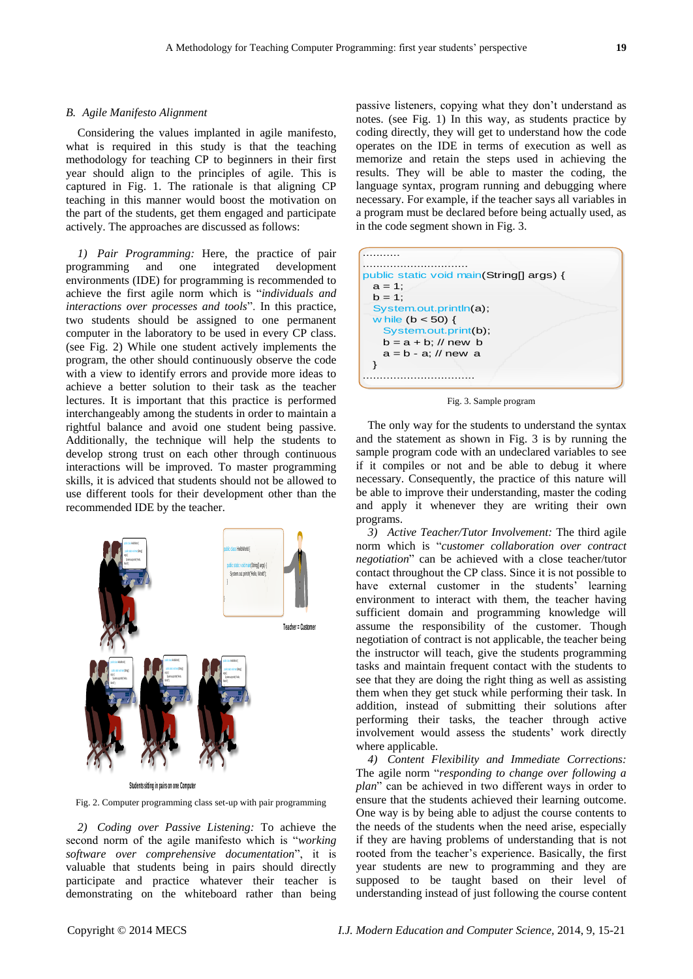#### *B. Agile Manifesto Alignment*

Considering the values implanted in agile manifesto, what is required in this study is that the teaching methodology for teaching CP to beginners in their first year should align to the principles of agile. This is captured in Fig. 1. The rationale is that aligning CP teaching in this manner would boost the motivation on the part of the students, get them engaged and participate actively. The approaches are discussed as follows:

*1) Pair Programming:* Here, the practice of pair programming and one integrated development environments (IDE) for programming is recommended to achieve the first agile norm which is "individuals and *interactions over processes and tools*". In this practice, two students should be assigned to one permanent computer in the laboratory to be used in every CP class. (see Fig. 2) While one student actively implements the program, the other should continuously observe the code with a view to identify errors and provide more ideas to achieve a better solution to their task as the teacher lectures. It is important that this practice is performed interchangeably among the students in order to maintain a rightful balance and avoid one student being passive. Additionally, the technique will help the students to develop strong trust on each other through continuous interactions will be improved. To master programming skills, it is adviced that students should not be allowed to use different tools for their development other than the recommended IDE by the teacher.



Fig. 2. Computer programming class set-up with pair programming

*2) Coding over Passive Listening:* To achieve the second norm of the agile manifesto which is "working *software over comprehensive documentation*‖, it is valuable that students being in pairs should directly participate and practice whatever their teacher is demonstrating on the whiteboard rather than being

passive listeners, copying what they don't understand as notes. (see Fig. 1) In this way, as students practice by coding directly, they will get to understand how the code operates on the IDE in terms of execution as well as memorize and retain the steps used in achieving the results. They will be able to master the coding, the language syntax, program running and debugging where necessary. For example, if the teacher says all variables in a program must be declared before being actually used, as in the code segment shown in Fig. 3.



Fig. 3. Sample program

The only way for the students to understand the syntax and the statement as shown in Fig. 3 is by running the sample program code with an undeclared variables to see if it compiles or not and be able to debug it where necessary. Consequently, the practice of this nature will be able to improve their understanding, master the coding and apply it whenever they are writing their own programs.

*3) Active Teacher/Tutor Involvement:* The third agile norm which is "customer collaboration over contract *negotiation*" can be achieved with a close teacher/tutor contact throughout the CP class. Since it is not possible to have external customer in the students' learning environment to interact with them, the teacher having sufficient domain and programming knowledge will assume the responsibility of the customer. Though negotiation of contract is not applicable, the teacher being the instructor will teach, give the students programming tasks and maintain frequent contact with the students to see that they are doing the right thing as well as assisting them when they get stuck while performing their task. In addition, instead of submitting their solutions after performing their tasks, the teacher through active involvement would assess the students' work directly where applicable.

*4) Content Flexibility and Immediate Corrections:*  The agile norm "*responding to change over following a plan*" can be achieved in two different ways in order to ensure that the students achieved their learning outcome. One way is by being able to adjust the course contents to the needs of the students when the need arise, especially if they are having problems of understanding that is not rooted from the teacher's experience. Basically, the first year students are new to programming and they are supposed to be taught based on their level of understanding instead of just following the course content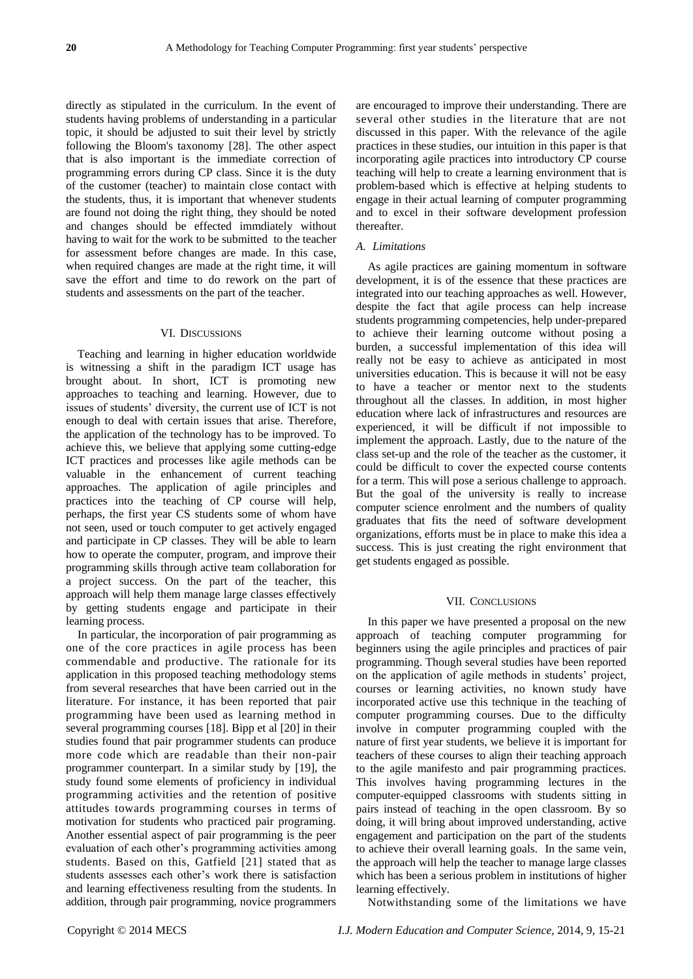directly as stipulated in the curriculum. In the event of students having problems of understanding in a particular topic, it should be adjusted to suit their level by strictly following the Bloom's taxonomy [28]. The other aspect that is also important is the immediate correction of programming errors during CP class. Since it is the duty of the customer (teacher) to maintain close contact with the students, thus, it is important that whenever students are found not doing the right thing, they should be noted and changes should be effected immdiately without having to wait for the work to be submitted to the teacher for assessment before changes are made. In this case, when required changes are made at the right time, it will save the effort and time to do rework on the part of students and assessments on the part of the teacher.

## VI. DISCUSSIONS

Teaching and learning in higher education worldwide is witnessing a shift in the paradigm ICT usage has brought about. In short, ICT is promoting new approaches to teaching and learning. However, due to issues of students' diversity, the current use of ICT is not enough to deal with certain issues that arise. Therefore, the application of the technology has to be improved. To achieve this, we believe that applying some cutting-edge ICT practices and processes like agile methods can be valuable in the enhancement of current teaching approaches. The application of agile principles and practices into the teaching of CP course will help, perhaps, the first year CS students some of whom have not seen, used or touch computer to get actively engaged and participate in CP classes. They will be able to learn how to operate the computer, program, and improve their programming skills through active team collaboration for a project success. On the part of the teacher, this approach will help them manage large classes effectively by getting students engage and participate in their learning process.

In particular, the incorporation of pair programming as one of the core practices in agile process has been commendable and productive. The rationale for its application in this proposed teaching methodology stems from several researches that have been carried out in the literature. For instance, it has been reported that pair programming have been used as learning method in several programming courses [18]. Bipp et al [20] in their studies found that pair programmer students can produce more code which are readable than their non-pair programmer counterpart. In a similar study by [19], the study found some elements of proficiency in individual programming activities and the retention of positive attitudes towards programming courses in terms of motivation for students who practiced pair programing. Another essential aspect of pair programming is the peer evaluation of each other's programming activities among students. Based on this, Gatfield [21] stated that as students assesses each other's work there is satisfaction and learning effectiveness resulting from the students. In addition, through pair programming, novice programmers

are encouraged to improve their understanding. There are several other studies in the literature that are not discussed in this paper. With the relevance of the agile practices in these studies, our intuition in this paper is that incorporating agile practices into introductory CP course teaching will help to create a learning environment that is problem-based which is effective at helping students to engage in their actual learning of computer programming and to excel in their software development profession thereafter.

## *A. Limitations*

As agile practices are gaining momentum in software development, it is of the essence that these practices are integrated into our teaching approaches as well. However, despite the fact that agile process can help increase students programming competencies, help under-prepared to achieve their learning outcome without posing a burden, a successful implementation of this idea will really not be easy to achieve as anticipated in most universities education. This is because it will not be easy to have a teacher or mentor next to the students throughout all the classes. In addition, in most higher education where lack of infrastructures and resources are experienced, it will be difficult if not impossible to implement the approach. Lastly, due to the nature of the class set-up and the role of the teacher as the customer, it could be difficult to cover the expected course contents for a term. This will pose a serious challenge to approach. But the goal of the university is really to increase computer science enrolment and the numbers of quality graduates that fits the need of software development organizations, efforts must be in place to make this idea a success. This is just creating the right environment that get students engaged as possible.

## VII. CONCLUSIONS

In this paper we have presented a proposal on the new approach of teaching computer programming for beginners using the agile principles and practices of pair programming. Though several studies have been reported on the application of agile methods in students' project, courses or learning activities, no known study have incorporated active use this technique in the teaching of computer programming courses. Due to the difficulty involve in computer programming coupled with the nature of first year students, we believe it is important for teachers of these courses to align their teaching approach to the agile manifesto and pair programming practices. This involves having programming lectures in the computer-equipped classrooms with students sitting in pairs instead of teaching in the open classroom. By so doing, it will bring about improved understanding, active engagement and participation on the part of the students to achieve their overall learning goals. In the same vein, the approach will help the teacher to manage large classes which has been a serious problem in institutions of higher learning effectively.

Notwithstanding some of the limitations we have